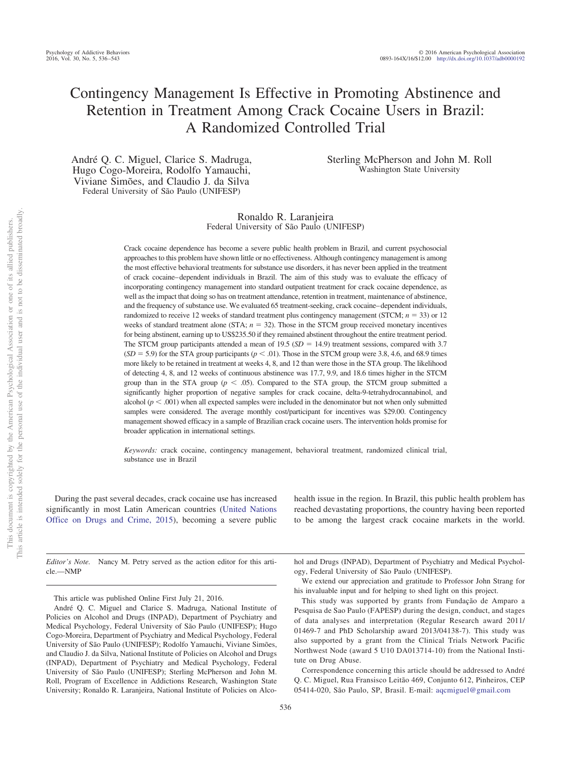# Contingency Management Is Effective in Promoting Abstinence and Retention in Treatment Among Crack Cocaine Users in Brazil: A Randomized Controlled Trial

André Q. C. Miguel, Clarice S. Madruga, Hugo Cogo-Moreira, Rodolfo Yamauchi, Viviane Simões, and Claudio J. da Silva Federal University of São Paulo (UNIFESP)

Sterling McPherson and John M. Roll Washington State University

Ronaldo R. Laranjeira Federal University of São Paulo (UNIFESP)

Crack cocaine dependence has become a severe public health problem in Brazil, and current psychosocial approaches to this problem have shown little or no effectiveness. Although contingency management is among the most effective behavioral treatments for substance use disorders, it has never been applied in the treatment of crack cocaine– dependent individuals in Brazil. The aim of this study was to evaluate the efficacy of incorporating contingency management into standard outpatient treatment for crack cocaine dependence, as well as the impact that doing so has on treatment attendance, retention in treatment, maintenance of abstinence, and the frequency of substance use. We evaluated 65 treatment-seeking, crack cocaine– dependent individuals, randomized to receive 12 weeks of standard treatment plus contingency management (STCM;  $n = 33$ ) or 12 weeks of standard treatment alone (STA;  $n = 32$ ). Those in the STCM group received monetary incentives for being abstinent, earning up to US\$235.50 if they remained abstinent throughout the entire treatment period. The STCM group participants attended a mean of 19.5  $(SD = 14.9)$  treatment sessions, compared with 3.7  $(SD = 5.9)$  for the STA group participants ( $p < .01$ ). Those in the STCM group were 3.8, 4.6, and 68.9 times more likely to be retained in treatment at weeks 4, 8, and 12 than were those in the STA group. The likelihood of detecting 4, 8, and 12 weeks of continuous abstinence was 17.7, 9.9, and 18.6 times higher in the STCM group than in the STA group ( $p < .05$ ). Compared to the STA group, the STCM group submitted a significantly higher proportion of negative samples for crack cocaine, delta-9-tetrahydrocannabinol, and alcohol ( $p < .001$ ) when all expected samples were included in the denominator but not when only submitted samples were considered. The average monthly cost/participant for incentives was \$29.00. Contingency management showed efficacy in a sample of Brazilian crack cocaine users. The intervention holds promise for broader application in international settings.

*Keywords:* crack cocaine, contingency management, behavioral treatment, randomized clinical trial, substance use in Brazil

During the past several decades, crack cocaine use has increased significantly in most Latin American countries [\(United Nations](#page-7-0) [Office on Drugs and Crime, 2015\)](#page-7-0), becoming a severe public health issue in the region. In Brazil, this public health problem has reached devastating proportions, the country having been reported to be among the largest crack cocaine markets in the world.

*Editor's Note.* Nancy M. Petry served as the action editor for this article.—NMP

This article was published Online First July 21, 2016.

hol and Drugs (INPAD), Department of Psychiatry and Medical Psychology, Federal University of São Paulo (UNIFESP).

We extend our appreciation and gratitude to Professor John Strang for his invaluable input and for helping to shed light on this project.

This study was supported by grants from Fundação de Amparo a Pesquisa de Sao Paulo (FAPESP) during the design, conduct, and stages of data analyses and interpretation (Regular Research award 2011/ 01469-7 and PhD Scholarship award 2013/04138-7). This study was also supported by a grant from the Clinical Trials Network Pacific Northwest Node (award 5 U10 DA013714-10) from the National Institute on Drug Abuse.

Correspondence concerning this article should be addressed to André Q. C. Miguel, Rua Fransisco Leitão 469, Conjunto 612, Pinheiros, CEP 05414-020, São Paulo, SP, Brasil. E-mail: [aqcmiguel@gmail.com](mailto:aqcmiguel@gmail.com)

André Q. C. Miguel and Clarice S. Madruga, National Institute of Policies on Alcohol and Drugs (INPAD), Department of Psychiatry and Medical Psychology, Federal University of São Paulo (UNIFESP); Hugo Cogo-Moreira, Department of Psychiatry and Medical Psychology, Federal University of São Paulo (UNIFESP); Rodolfo Yamauchi, Viviane Simões, and Claudio J. da Silva, National Institute of Policies on Alcohol and Drugs (INPAD), Department of Psychiatry and Medical Psychology, Federal University of São Paulo (UNIFESP); Sterling McPherson and John M. Roll, Program of Excellence in Addictions Research, Washington State University; Ronaldo R. Laranjeira, National Institute of Policies on Alco-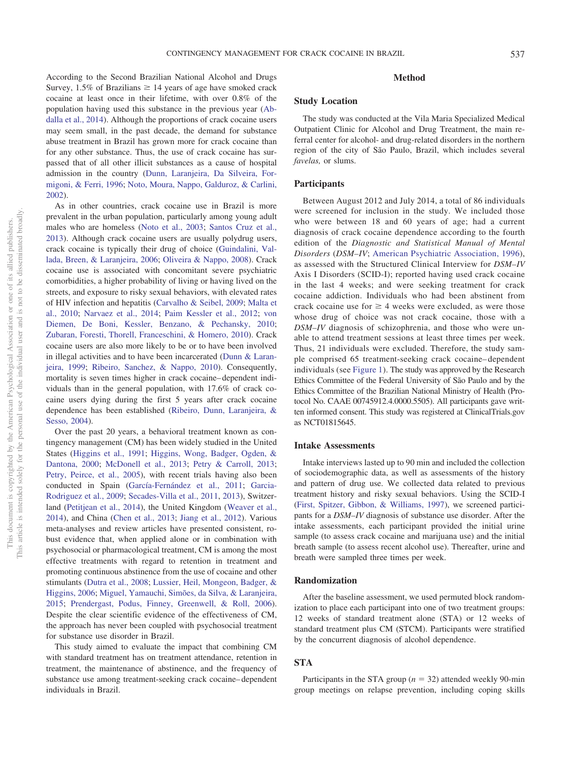According to the Second Brazilian National Alcohol and Drugs Survey,  $1.5\%$  of Brazilians  $\geq 14$  years of age have smoked crack cocaine at least once in their lifetime, with over 0.8% of the population having used this substance in the previous year [\(Ab](#page-6-0)[dalla et al., 2014\)](#page-6-0). Although the proportions of crack cocaine users may seem small, in the past decade, the demand for substance abuse treatment in Brazil has grown more for crack cocaine than for any other substance. Thus, the use of crack cocaine has surpassed that of all other illicit substances as a cause of hospital admission in the country [\(Dunn, Laranjeira, Da Silveira, For](#page-6-1)[migoni, & Ferri, 1996;](#page-6-1) [Noto, Moura, Nappo, Galduroz, & Carlini,](#page-7-1) [2002\)](#page-7-1).

As in other countries, crack cocaine use in Brazil is more prevalent in the urban population, particularly among young adult males who are homeless [\(Noto et al., 2003;](#page-6-2) [Santos Cruz et al.,](#page-7-2) [2013\)](#page-7-2). Although crack cocaine users are usually polydrug users, crack cocaine is typically their drug of choice [\(Guindalini, Val](#page-6-3)[lada, Breen, & Laranjeira, 2006;](#page-6-3) [Oliveira & Nappo, 2008\)](#page-7-3). Crack cocaine use is associated with concomitant severe psychiatric comorbidities, a higher probability of living or having lived on the streets, and exposure to risky sexual behaviors, with elevated rates of HIV infection and hepatitis [\(Carvalho & Seibel, 2009;](#page-6-4) [Malta et](#page-6-5) [al., 2010;](#page-6-5) [Narvaez et al., 2014;](#page-6-6) [Paim Kessler et al., 2012;](#page-7-4) [von](#page-7-5) [Diemen, De Boni, Kessler, Benzano, & Pechansky, 2010;](#page-7-5) [Zubaran, Foresti, Thorell, Franceschini, & Homero, 2010\)](#page-7-6). Crack cocaine users are also more likely to be or to have been involved in illegal activities and to have been incarcerated [\(Dunn & Laran](#page-6-7)[jeira, 1999;](#page-6-7) [Ribeiro, Sanchez, & Nappo, 2010\)](#page-7-7). Consequently, mortality is seven times higher in crack cocaine– dependent individuals than in the general population, with 17.6% of crack cocaine users dying during the first 5 years after crack cocaine dependence has been established [\(Ribeiro, Dunn, Laranjeira, &](#page-7-8) [Sesso, 2004\)](#page-7-8).

Over the past 20 years, a behavioral treatment known as contingency management (CM) has been widely studied in the United States [\(Higgins et al., 1991;](#page-6-8) [Higgins, Wong, Badger, Ogden, &](#page-6-9) [Dantona, 2000;](#page-6-9) [McDonell et al., 2013;](#page-6-10) [Petry & Carroll, 2013;](#page-7-9) [Petry, Peirce, et al., 2005\)](#page-7-10), with recent trials having also been conducted in Spain [\(García-Fernández et al., 2011;](#page-6-11) [Garcia-](#page-6-12)[Rodriguez et al., 2009;](#page-6-12) [Secades-Villa et al., 2011,](#page-7-11) [2013\)](#page-7-12), Switzerland [\(Petitjean et al., 2014\)](#page-7-13), the United Kingdom [\(Weaver et al.,](#page-7-14) [2014\)](#page-7-14), and China [\(Chen et al., 2013;](#page-6-13) [Jiang et al., 2012\)](#page-6-14). Various meta-analyses and review articles have presented consistent, robust evidence that, when applied alone or in combination with psychosocial or pharmacological treatment, CM is among the most effective treatments with regard to retention in treatment and promoting continuous abstinence from the use of cocaine and other stimulants [\(Dutra et al., 2008;](#page-6-15) [Lussier, Heil, Mongeon, Badger, &](#page-6-16) [Higgins, 2006;](#page-6-16) [Miguel, Yamauchi, Simões, da Silva, & Laranjeira,](#page-6-17) [2015;](#page-6-17) [Prendergast, Podus, Finney, Greenwell, & Roll, 2006\)](#page-7-15). Despite the clear scientific evidence of the effectiveness of CM, the approach has never been coupled with psychosocial treatment for substance use disorder in Brazil.

This study aimed to evaluate the impact that combining CM with standard treatment has on treatment attendance, retention in treatment, the maintenance of abstinence, and the frequency of substance use among treatment-seeking crack cocaine– dependent individuals in Brazil.

# **Method**

# **Study Location**

The study was conducted at the Vila Maria Specialized Medical Outpatient Clinic for Alcohol and Drug Treatment, the main referral center for alcohol- and drug-related disorders in the northern region of the city of São Paulo, Brazil, which includes several *favelas,* or slums.

## **Participants**

Between August 2012 and July 2014, a total of 86 individuals were screened for inclusion in the study. We included those who were between 18 and 60 years of age; had a current diagnosis of crack cocaine dependence according to the fourth edition of the *Diagnostic and Statistical Manual of Mental Disorders* (*DSM–IV*; [American Psychiatric Association, 1996\)](#page-6-18), as assessed with the Structured Clinical Interview for *DSM–IV* Axis I Disorders (SCID-I); reported having used crack cocaine in the last 4 weeks; and were seeking treatment for crack cocaine addiction. Individuals who had been abstinent from crack cocaine use for  $\geq 4$  weeks were excluded, as were those whose drug of choice was not crack cocaine, those with a *DSM–IV* diagnosis of schizophrenia, and those who were unable to attend treatment sessions at least three times per week. Thus, 21 individuals were excluded. Therefore, the study sample comprised 65 treatment-seeking crack cocaine– dependent individuals (see [Figure 1\)](#page-2-0). The study was approved by the Research Ethics Committee of the Federal University of São Paulo and by the Ethics Committee of the Brazilian National Ministry of Health (Protocol No. CAAE 00745912.4.0000.5505). All participants gave written informed consent. This study was registered at ClinicalTrials.gov as NCT01815645.

#### **Intake Assessments**

Intake interviews lasted up to 90 min and included the collection of sociodemographic data, as well as assessments of the history and pattern of drug use. We collected data related to previous treatment history and risky sexual behaviors. Using the SCID-I [\(First, Spitzer, Gibbon, & Williams, 1997\)](#page-6-19), we screened participants for a *DSM–IV* diagnosis of substance use disorder. After the intake assessments, each participant provided the initial urine sample (to assess crack cocaine and marijuana use) and the initial breath sample (to assess recent alcohol use). Thereafter, urine and breath were sampled three times per week.

## **Randomization**

After the baseline assessment, we used permuted block randomization to place each participant into one of two treatment groups: 12 weeks of standard treatment alone (STA) or 12 weeks of standard treatment plus CM (STCM). Participants were stratified by the concurrent diagnosis of alcohol dependence.

#### **STA**

Participants in the STA group  $(n = 32)$  attended weekly 90-min group meetings on relapse prevention, including coping skills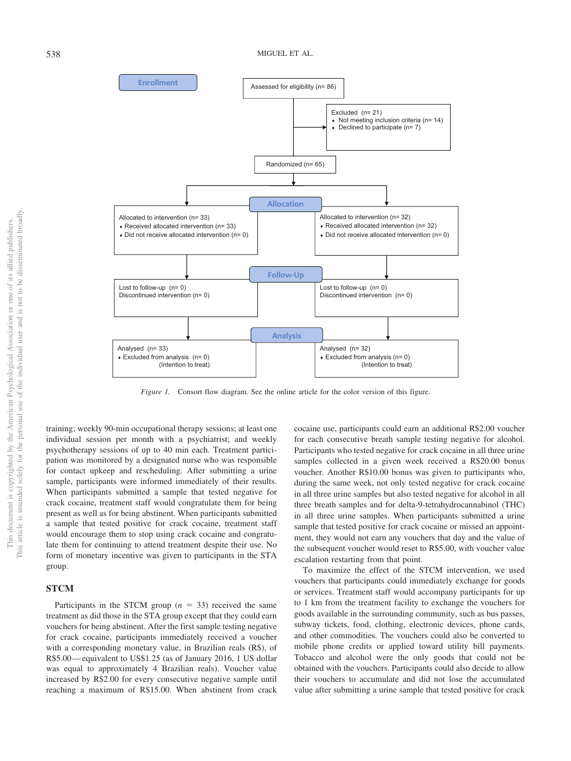

<span id="page-2-0"></span>*Figure 1.* Consort flow diagram. See the online article for the color version of this figure.

training; weekly 90-min occupational therapy sessions; at least one individual session per month with a psychiatrist; and weekly psychotherapy sessions of up to 40 min each. Treatment participation was monitored by a designated nurse who was responsible for contact upkeep and rescheduling. After submitting a urine sample, participants were informed immediately of their results. When participants submitted a sample that tested negative for crack cocaine, treatment staff would congratulate them for being present as well as for being abstinent. When participants submitted a sample that tested positive for crack cocaine, treatment staff would encourage them to stop using crack cocaine and congratulate them for continuing to attend treatment despite their use. No form of monetary incentive was given to participants in the STA group.

# **STCM**

Participants in the STCM group  $(n = 33)$  received the same treatment as did those in the STA group except that they could earn vouchers for being abstinent. After the first sample testing negative for crack cocaine, participants immediately received a voucher with a corresponding monetary value, in Brazilian reals (R\$), of R\$5.00— equivalent to US\$1.25 (as of January 2016, 1 US dollar was equal to approximately 4 Brazilian reals). Voucher value increased by R\$2.00 for every consecutive negative sample until reaching a maximum of R\$15.00. When abstinent from crack cocaine use, participants could earn an additional R\$2.00 voucher for each consecutive breath sample testing negative for alcohol. Participants who tested negative for crack cocaine in all three urine samples collected in a given week received a R\$20.00 bonus voucher. Another R\$10.00 bonus was given to participants who, during the same week, not only tested negative for crack cocaine in all three urine samples but also tested negative for alcohol in all three breath samples and for delta-9-tetrahydrocannabinol (THC) in all three urine samples. When participants submitted a urine sample that tested positive for crack cocaine or missed an appointment, they would not earn any vouchers that day and the value of the subsequent voucher would reset to R\$5.00, with voucher value escalation restarting from that point.

To maximize the effect of the STCM intervention, we used vouchers that participants could immediately exchange for goods or services. Treatment staff would accompany participants for up to 1 km from the treatment facility to exchange the vouchers for goods available in the surrounding community, such as bus passes, subway tickets, food, clothing, electronic devices, phone cards, and other commodities. The vouchers could also be converted to mobile phone credits or applied toward utility bill payments. Tobacco and alcohol were the only goods that could not be obtained with the vouchers. Participants could also decide to allow their vouchers to accumulate and did not lose the accumulated value after submitting a urine sample that tested positive for crack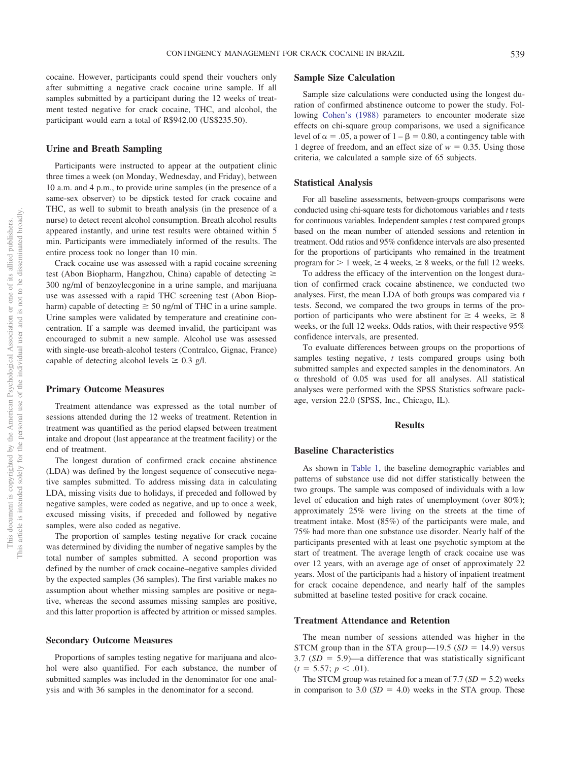cocaine. However, participants could spend their vouchers only after submitting a negative crack cocaine urine sample. If all samples submitted by a participant during the 12 weeks of treatment tested negative for crack cocaine, THC, and alcohol, the participant would earn a total of R\$942.00 (US\$235.50).

## **Urine and Breath Sampling**

Participants were instructed to appear at the outpatient clinic three times a week (on Monday, Wednesday, and Friday), between 10 a.m. and 4 p.m., to provide urine samples (in the presence of a same-sex observer) to be dipstick tested for crack cocaine and THC, as well to submit to breath analysis (in the presence of a nurse) to detect recent alcohol consumption. Breath alcohol results appeared instantly, and urine test results were obtained within 5 min. Participants were immediately informed of the results. The entire process took no longer than 10 min.

Crack cocaine use was assessed with a rapid cocaine screening test (Abon Biopharm, Hangzhou, China) capable of detecting  $\geq$ 300 ng/ml of benzoylecgonine in a urine sample, and marijuana use was assessed with a rapid THC screening test (Abon Biopharm) capable of detecting  $\geq$  50 ng/ml of THC in a urine sample. Urine samples were validated by temperature and creatinine concentration. If a sample was deemed invalid, the participant was encouraged to submit a new sample. Alcohol use was assessed with single-use breath-alcohol testers (Contralco, Gignac, France) capable of detecting alcohol levels  $\geq 0.3$  g/l.

#### **Primary Outcome Measures**

Treatment attendance was expressed as the total number of sessions attended during the 12 weeks of treatment. Retention in treatment was quantified as the period elapsed between treatment intake and dropout (last appearance at the treatment facility) or the end of treatment.

The longest duration of confirmed crack cocaine abstinence (LDA) was defined by the longest sequence of consecutive negative samples submitted. To address missing data in calculating LDA, missing visits due to holidays, if preceded and followed by negative samples, were coded as negative, and up to once a week, excused missing visits, if preceded and followed by negative samples, were also coded as negative.

The proportion of samples testing negative for crack cocaine was determined by dividing the number of negative samples by the total number of samples submitted. A second proportion was defined by the number of crack cocaine–negative samples divided by the expected samples (36 samples). The first variable makes no assumption about whether missing samples are positive or negative, whereas the second assumes missing samples are positive, and this latter proportion is affected by attrition or missed samples.

#### **Secondary Outcome Measures**

Proportions of samples testing negative for marijuana and alcohol were also quantified. For each substance, the number of submitted samples was included in the denominator for one analysis and with 36 samples in the denominator for a second.

# **Sample Size Calculation**

Sample size calculations were conducted using the longest duration of confirmed abstinence outcome to power the study. Following [Cohen's \(1988\)](#page-6-20) parameters to encounter moderate size effects on chi-square group comparisons, we used a significance level of  $\alpha = .05$ , a power of  $1 - \beta = 0.80$ , a contingency table with 1 degree of freedom, and an effect size of  $w = 0.35$ . Using those criteria, we calculated a sample size of 65 subjects.

## **Statistical Analysis**

For all baseline assessments, between-groups comparisons were conducted using chi-square tests for dichotomous variables and *t* tests for continuous variables. Independent samples *t* test compared groups based on the mean number of attended sessions and retention in treatment. Odd ratios and 95% confidence intervals are also presented for the proportions of participants who remained in the treatment program for  $> 1$  week,  $\geq 4$  weeks,  $\geq 8$  weeks, or the full 12 weeks.

To address the efficacy of the intervention on the longest duration of confirmed crack cocaine abstinence, we conducted two analyses. First, the mean LDA of both groups was compared via *t* tests. Second, we compared the two groups in terms of the proportion of participants who were abstinent for  $\geq 4$  weeks,  $\geq 8$ weeks, or the full 12 weeks. Odds ratios, with their respective 95% confidence intervals, are presented.

To evaluate differences between groups on the proportions of samples testing negative, *t* tests compared groups using both submitted samples and expected samples in the denominators. An  $\alpha$  threshold of 0.05 was used for all analyses. All statistical analyses were performed with the SPSS Statistics software package, version 22.0 (SPSS, Inc., Chicago, IL).

#### **Results**

## **Baseline Characteristics**

As shown in [Table 1,](#page-4-0) the baseline demographic variables and patterns of substance use did not differ statistically between the two groups. The sample was composed of individuals with a low level of education and high rates of unemployment (over 80%); approximately 25% were living on the streets at the time of treatment intake. Most (85%) of the participants were male, and 75% had more than one substance use disorder. Nearly half of the participants presented with at least one psychotic symptom at the start of treatment. The average length of crack cocaine use was over 12 years, with an average age of onset of approximately 22 years. Most of the participants had a history of inpatient treatment for crack cocaine dependence, and nearly half of the samples submitted at baseline tested positive for crack cocaine.

#### **Treatment Attendance and Retention**

The mean number of sessions attended was higher in the STCM group than in the STA group—19.5  $(SD = 14.9)$  versus  $3.7$  ( $SD = 5.9$ )—a difference that was statistically significant  $(t = 5.57; p < .01).$ 

The STCM group was retained for a mean of  $7.7$  ( $SD = 5.2$ ) weeks in comparison to 3.0  $(SD = 4.0)$  weeks in the STA group. These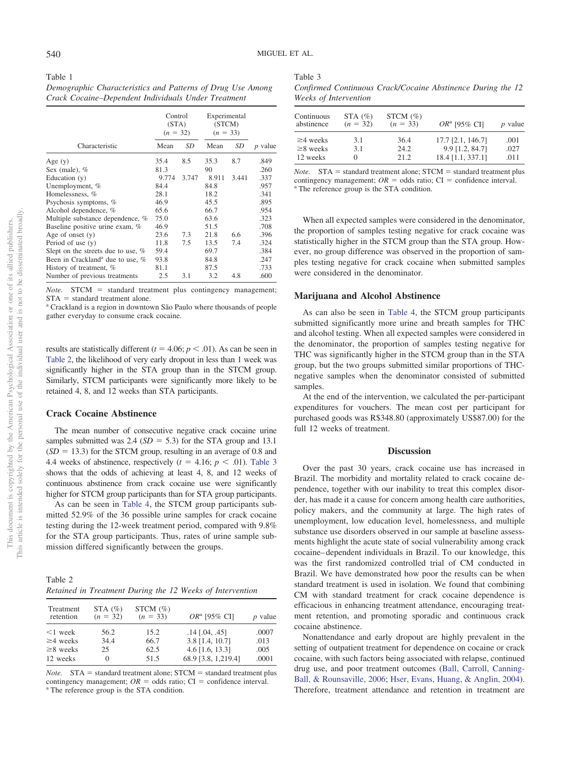<span id="page-4-0"></span>Table 1 *Demographic Characteristics and Patterns of Drug Use Among Crack Cocaine–Dependent Individuals Under Treatment*

|                                              | Control<br>(STA)<br>$(n = 32)$ |       | Experimental<br>(STCM)<br>$(n = 33)$ |       |                |  |
|----------------------------------------------|--------------------------------|-------|--------------------------------------|-------|----------------|--|
| Characteristic                               | Mean                           | SD    | Mean                                 | SD    | <i>p</i> value |  |
| Age $(y)$                                    | 35.4                           | 8.5   | 35.3                                 | 8.7   | .849           |  |
| Sex (male), $%$                              | 81.3                           |       | 90                                   |       | .260           |  |
| Education $(v)$                              | 9.774                          | 3.747 | 8.911                                | 3.441 | .337           |  |
| Unemployment, %                              | 84.4                           |       | 84.8                                 |       | .957           |  |
| Homelessness, %                              | 28.1                           |       | 18.2                                 |       | .341           |  |
| Psychosis symptoms, %                        | 46.9                           |       | 45.5                                 |       | .895           |  |
| Alcohol dependence, %                        | 65.6                           |       | 66.7                                 |       | .954           |  |
| Multiple substance dependence, %             | 75.0                           |       | 63.6                                 |       | .323           |  |
| Baseline positive urine exam, %              | 46.9                           |       | 51.5                                 |       | .708           |  |
| Age of onset $(y)$                           | 23.6                           | 7.3   | 21.8                                 | 6.6   | .396           |  |
| Period of use $(y)$                          | 11.8                           | 7.5   | 13.5                                 | 7.4   | .324           |  |
| Slept on the streets due to use, %           | 59.4                           |       | 69.7                                 |       | .384           |  |
| Been in Crackland <sup>a</sup> due to use, % | 93.8                           |       | 84.8                                 |       | .247           |  |
| History of treatment, %                      | 81.1                           |       | 87.5                                 |       | .733           |  |
| Number of previous treatments                | 2.5                            | 3.1   | 3.2                                  | 4.8   | .600           |  |

Note. STCM = standard treatment plus contingency management;  $STA = standard treatment alone$ 

<sup>a</sup> Crackland is a region in downtown São Paulo where thousands of people gather everyday to consume crack cocaine.

results are statistically different  $(t = 4.06; p < .01)$ . As can be seen in [Table 2,](#page-4-1) the likelihood of very early dropout in less than 1 week was significantly higher in the STA group than in the STCM group. Similarly, STCM participants were significantly more likely to be retained 4, 8, and 12 weeks than STA participants.

# **Crack Cocaine Abstinence**

The mean number of consecutive negative crack cocaine urine samples submitted was  $2.4$  ( $SD = 5.3$ ) for the STA group and 13.1  $(SD = 13.3)$  for the STCM group, resulting in an average of 0.8 and 4.4 weeks of abstinence, respectively  $(t = 4.16; p < .01)$ . [Table 3](#page-4-2) shows that the odds of achieving at least 4, 8, and 12 weeks of continuous abstinence from crack cocaine use were significantly higher for STCM group participants than for STA group participants.

As can be seen in [Table 4,](#page-5-0) the STCM group participants submitted 52.9% of the 36 possible urine samples for crack cocaine testing during the 12-week treatment period, compared with 9.8% for the STA group participants. Thus, rates of urine sample submission differed significantly between the groups.

<span id="page-4-1"></span>

| Table 2                                                   |  |  |  |  |
|-----------------------------------------------------------|--|--|--|--|
| Retained in Treatment During the 12 Weeks of Intervention |  |  |  |  |

| Treatment<br>retention | STA $(\%)$<br>$(n = 32)$ | STCM $(\% )$<br>$(n = 33)$ | OR <sup>a</sup> [95% CI] | $p$ value |
|------------------------|--------------------------|----------------------------|--------------------------|-----------|
| $\leq 1$ week          | 56.2                     | 15.2                       | $.14$ [.04, .45]         | .0007     |
| $\geq$ 4 weeks         | 34.4                     | 66.7                       | 3.8 [1.4, 10.7]          | .013      |
| $\geq$ 8 weeks         | 25                       | 62.5                       | $4.6$ [1.6, 13.3]        | .005      |
| 12 weeks               | $\Omega$                 | 51.5                       | 68.9 [3.8, 1,219.4]      | .0001     |

*Note.*  $STA = standard treatment alone; STCM = standard treatment plus$ contingency management;  $OR =$  odds ratio;  $CI =$  confidence interval.<br><sup>a</sup> The reference group is the STA condition.

<span id="page-4-2"></span>

| Table 3                                                     |  |
|-------------------------------------------------------------|--|
| Confirmed Continuous Crack/Cocaine Abstinence During the 12 |  |
| Weeks of Intervention                                       |  |

| Continuous<br>abstinence | STA $(\%)$<br>$(n = 32)$ | STCM $(\%)$<br>$(n = 33)$ | OR <sup>a</sup> [95% CI] | <i>p</i> value |
|--------------------------|--------------------------|---------------------------|--------------------------|----------------|
| $\geq$ 4 weeks           | 3.1                      | 36.4                      | 17.7 [2.1, 146.7]        | .001           |
| $\geq$ 8 weeks           | 3.1                      | 24.2                      | 9.9 [1.2, 84.7]          | .027           |
| 12 weeks                 | $\theta$                 | 21.2.                     | 18.4 [1.1, 337.1]        | .011           |

*Note.* STA = standard treatment alone; STCM = standard treatment plus contingency management;  $OR =$  odds ratio;  $CI =$  confidence interval.<br><sup>a</sup> The reference group is the STA condition.

When all expected samples were considered in the denominator, the proportion of samples testing negative for crack cocaine was statistically higher in the STCM group than the STA group. However, no group difference was observed in the proportion of samples testing negative for crack cocaine when submitted samples were considered in the denominator.

## **Marijuana and Alcohol Abstinence**

As can also be seen in [Table 4,](#page-5-0) the STCM group participants submitted significantly more urine and breath samples for THC and alcohol testing. When all expected samples were considered in the denominator, the proportion of samples testing negative for THC was significantly higher in the STCM group than in the STA group, but the two groups submitted similar proportions of THCnegative samples when the denominator consisted of submitted samples.

At the end of the intervention, we calculated the per-participant expenditures for vouchers. The mean cost per participant for purchased goods was R\$348.80 (approximately US\$87.00) for the full 12 weeks of treatment.

## **Discussion**

Over the past 30 years, crack cocaine use has increased in Brazil. The morbidity and mortality related to crack cocaine dependence, together with our inability to treat this complex disorder, has made it a cause for concern among health care authorities, policy makers, and the community at large. The high rates of unemployment, low education level, homelessness, and multiple substance use disorders observed in our sample at baseline assessments highlight the acute state of social vulnerability among crack cocaine– dependent individuals in Brazil. To our knowledge, this was the first randomized controlled trial of CM conducted in Brazil. We have demonstrated how poor the results can be when standard treatment is used in isolation. We found that combining CM with standard treatment for crack cocaine dependence is efficacious in enhancing treatment attendance, encouraging treatment retention, and promoting sporadic and continuous crack cocaine abstinence.

Nonattendance and early dropout are highly prevalent in the setting of outpatient treatment for dependence on cocaine or crack cocaine, with such factors being associated with relapse, continued drug use, and poor treatment outcomes [\(Ball, Carroll, Canning-](#page-6-21)[Ball, & Rounsaville, 2006;](#page-6-21) [Hser, Evans, Huang, & Anglin, 2004\)](#page-6-22). Therefore, treatment attendance and retention in treatment are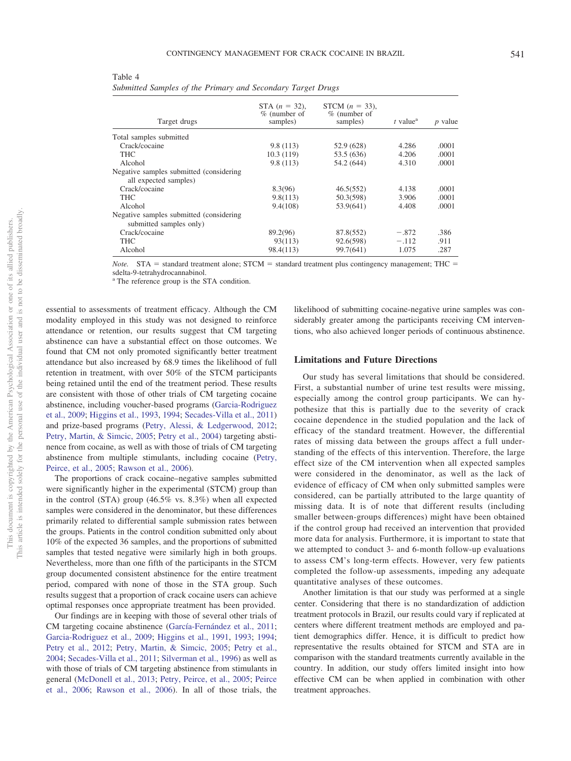| ×            |  |
|--------------|--|
| ۰,<br>×<br>٧ |  |

| Target drugs                                                        | STA $(n = 32)$ ,<br>$%$ (number of<br>samples) | STCM $(n = 33)$ ,<br>$%$ (number of<br>samples) | $t$ value <sup><math>a</math></sup> | <i>p</i> value |
|---------------------------------------------------------------------|------------------------------------------------|-------------------------------------------------|-------------------------------------|----------------|
| Total samples submitted                                             |                                                |                                                 |                                     |                |
| Crack/cocaine                                                       | 9.8(113)                                       | 52.9 (628)                                      | 4.286                               | .0001          |
| <b>THC</b>                                                          | 10.3(119)                                      | 53.5 (636)                                      | 4.206                               | .0001          |
| Alcohol                                                             | 9.8(113)                                       | 54.2 (644)                                      | 4.310                               | .0001          |
| Negative samples submitted (considering)<br>all expected samples)   |                                                |                                                 |                                     |                |
| Crack/cocaine                                                       | 8.3(96)                                        | 46.5(552)                                       | 4.138                               | .0001          |
| <b>THC</b>                                                          | 9.8(113)                                       | 50.3(598)                                       | 3.906                               | .0001          |
| Alcohol                                                             | 9.4(108)                                       | 53.9(641)                                       | 4.408                               | .0001          |
| Negative samples submitted (considering)<br>submitted samples only) |                                                |                                                 |                                     |                |
| Crack/cocaine                                                       | 89.2(96)                                       | 87.8(552)                                       | $-.872$                             | .386           |
| <b>THC</b>                                                          | 93(113)                                        | 92.6(598)                                       | $-.112$                             | .911           |
| Alcohol                                                             | 98.4(113)                                      | 99.7(641)                                       | 1.075                               | .287           |

<span id="page-5-0"></span>Table 4 *Submitted Samples of the Primary and Secondary Target Drugs*

*Note.* STA = standard treatment alone; STCM = standard treatment plus contingency management; THC = sdelta-9-tetrahydrocannabinol.

<sup>a</sup> The reference group is the STA condition.

essential to assessments of treatment efficacy. Although the CM modality employed in this study was not designed to reinforce attendance or retention, our results suggest that CM targeting abstinence can have a substantial effect on those outcomes. We found that CM not only promoted significantly better treatment attendance but also increased by 68.9 times the likelihood of full retention in treatment, with over 50% of the STCM participants being retained until the end of the treatment period. These results are consistent with those of other trials of CM targeting cocaine abstinence, including voucher-based programs [\(Garcia-Rodriguez](#page-6-12) [et al., 2009;](#page-6-12) [Higgins et al., 1993,](#page-6-23) [1994;](#page-6-24) [Secades-Villa et al., 2011\)](#page-7-11) and prize-based programs [\(Petry, Alessi, & Ledgerwood, 2012;](#page-7-16) [Petry, Martin, & Simcic, 2005;](#page-7-17) [Petry et al., 2004\)](#page-7-18) targeting abstinence from cocaine, as well as with those of trials of CM targeting abstinence from multiple stimulants, including cocaine [\(Petry,](#page-7-10) [Peirce, et al., 2005;](#page-7-10) [Rawson et al., 2006\)](#page-7-19).

The proportions of crack cocaine–negative samples submitted were significantly higher in the experimental (STCM) group than in the control (STA) group (46.5% vs. 8.3%) when all expected samples were considered in the denominator, but these differences primarily related to differential sample submission rates between the groups. Patients in the control condition submitted only about 10% of the expected 36 samples, and the proportions of submitted samples that tested negative were similarly high in both groups. Nevertheless, more than one fifth of the participants in the STCM group documented consistent abstinence for the entire treatment period, compared with none of those in the STA group. Such results suggest that a proportion of crack cocaine users can achieve optimal responses once appropriate treatment has been provided.

Our findings are in keeping with those of several other trials of CM targeting cocaine abstinence [\(García-Fernández et al., 2011;](#page-6-11) [Garcia-Rodriguez et al., 2009;](#page-6-12) [Higgins et al., 1991,](#page-6-8) [1993;](#page-6-23) [1994;](#page-6-24) [Petry et al., 2012;](#page-7-16) [Petry, Martin, & Simcic, 2005;](#page-7-17) [Petry et al.,](#page-7-18) [2004;](#page-7-18) [Secades-Villa et al., 2011;](#page-7-11) [Silverman et al., 1996\)](#page-7-20) as well as with those of trials of CM targeting abstinence from stimulants in general [\(McDonell et al., 2013;](#page-6-10) [Petry, Peirce, et al., 2005;](#page-7-10) [Peirce](#page-7-21) [et al., 2006;](#page-7-21) [Rawson et al., 2006\)](#page-7-19). In all of those trials, the likelihood of submitting cocaine-negative urine samples was considerably greater among the participants receiving CM interventions, who also achieved longer periods of continuous abstinence.

## **Limitations and Future Directions**

Our study has several limitations that should be considered. First, a substantial number of urine test results were missing, especially among the control group participants. We can hypothesize that this is partially due to the severity of crack cocaine dependence in the studied population and the lack of efficacy of the standard treatment. However, the differential rates of missing data between the groups affect a full understanding of the effects of this intervention. Therefore, the large effect size of the CM intervention when all expected samples were considered in the denominator, as well as the lack of evidence of efficacy of CM when only submitted samples were considered, can be partially attributed to the large quantity of missing data. It is of note that different results (including smaller between-groups differences) might have been obtained if the control group had received an intervention that provided more data for analysis. Furthermore, it is important to state that we attempted to conduct 3- and 6-month follow-up evaluations to assess CM's long-term effects. However, very few patients completed the follow-up assessments, impeding any adequate quantitative analyses of these outcomes.

Another limitation is that our study was performed at a single center. Considering that there is no standardization of addiction treatment protocols in Brazil, our results could vary if replicated at centers where different treatment methods are employed and patient demographics differ. Hence, it is difficult to predict how representative the results obtained for STCM and STA are in comparison with the standard treatments currently available in the country. In addition, our study offers limited insight into how effective CM can be when applied in combination with other treatment approaches.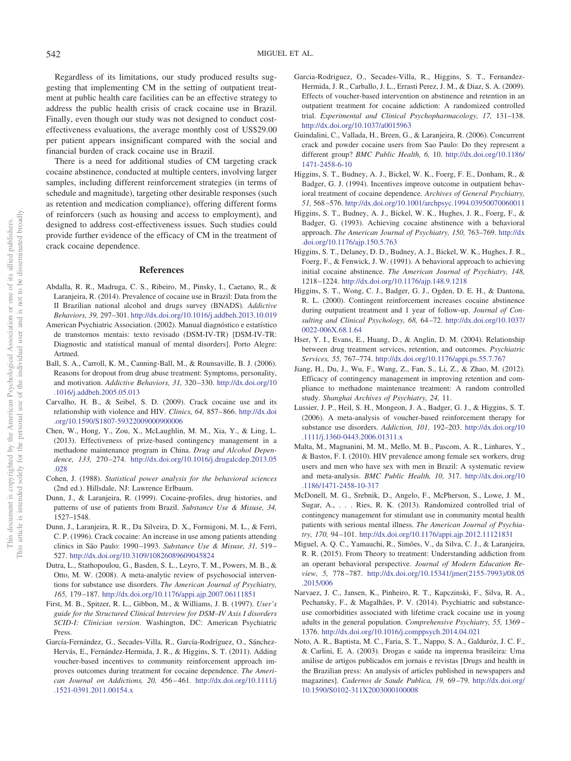Regardless of its limitations, our study produced results suggesting that implementing CM in the setting of outpatient treatment at public health care facilities can be an effective strategy to address the public health crisis of crack cocaine use in Brazil. Finally, even though our study was not designed to conduct costeffectiveness evaluations, the average monthly cost of US\$29.00 per patient appears insignificant compared with the social and financial burden of crack cocaine use in Brazil.

There is a need for additional studies of CM targeting crack cocaine abstinence, conducted at multiple centers, involving larger samples, including different reinforcement strategies (in terms of schedule and magnitude), targeting other desirable responses (such as retention and medication compliance), offering different forms of reinforcers (such as housing and access to employment), and designed to address cost-effectiveness issues. Such studies could provide further evidence of the efficacy of CM in the treatment of crack cocaine dependence.

## **References**

- <span id="page-6-0"></span>Abdalla, R. R., Madruga, C. S., Ribeiro, M., Pinsky, I., Caetano, R., & Laranjeira, R. (2014). Prevalence of cocaine use in Brazil: Data from the II Brazilian national alcohol and drugs survey (BNADS). *Addictive Behaviors, 39,* 297–301. <http://dx.doi.org/10.1016/j.addbeh.2013.10.019>
- <span id="page-6-18"></span>American Psychiatric Association. (2002). Manual diagnóstico e estatístico de transtornos mentais: texto revisado (DSM-IV-TR) [DSM-IV-TR: Diagnostic and statistical manual of mental disorders]. Porto Alegre: Artmed.
- <span id="page-6-21"></span>Ball, S. A., Carroll, K. M., Canning-Ball, M., & Rounsaville, B. J. (2006). Reasons for dropout from drug abuse treatment: Symptoms, personality, and motivation. *Addictive Behaviors, 31,* 320 –330. [http://dx.doi.org/10](http://dx.doi.org/10.1016/j.addbeh.2005.05.013) [.1016/j.addbeh.2005.05.013](http://dx.doi.org/10.1016/j.addbeh.2005.05.013)
- <span id="page-6-4"></span>Carvalho, H. B., & Seibel, S. D. (2009). Crack cocaine use and its relationship with violence and HIV. *Clinics, 64,* 857– 866. [http://dx.doi](http://dx.doi.org/10.1590/S1807-59322009000900006) [.org/10.1590/S1807-59322009000900006](http://dx.doi.org/10.1590/S1807-59322009000900006)
- <span id="page-6-13"></span>Chen, W., Hong, Y., Zou, X., McLaughlin, M. M., Xia, Y., & Ling, L. (2013). Effectiveness of prize-based contingency management in a methadone maintenance program in China. *Drug and Alcohol Dependence, 133,* 270 –274. [http://dx.doi.org/10.1016/j.drugalcdep.2013.05](http://dx.doi.org/10.1016/j.drugalcdep.2013.05.028) [.028](http://dx.doi.org/10.1016/j.drugalcdep.2013.05.028)
- <span id="page-6-20"></span>Cohen, J. (1988). *Statistical power analysis for the behavioral sciences* (2nd ed.). Hillsdale, NJ: Lawrence Erlbaum.
- <span id="page-6-7"></span>Dunn, J., & Laranjeira, R. (1999). Cocaine-profiles, drug histories, and patterns of use of patients from Brazil. *Substance Use & Misuse, 34,* 1527–1548.
- <span id="page-6-1"></span>Dunn, J., Laranjeira, R. R., Da Silveira, D. X., Formigoni, M. L., & Ferri, C. P. (1996). Crack cocaine: An increase in use among patients attending clinics in São Paulo: 1990 –1993. *Substance Use & Misuse, 31,* 519 – 527. <http://dx.doi.org/10.3109/10826089609045824>
- <span id="page-6-15"></span>Dutra, L., Stathopoulou, G., Basden, S. L., Leyro, T. M., Powers, M. B., & Otto, M. W. (2008). A meta-analytic review of psychosocial interventions for substance use disorders. *The American Journal of Psychiatry, 165,* 179 –187. <http://dx.doi.org/10.1176/appi.ajp.2007.06111851>
- <span id="page-6-19"></span>First, M. B., Spitzer, R. L., Gibbon, M., & Williams, J. B. (1997). *User's guide for the Structured Clinical Interview for DSM–IV Axis I disorders SCID-I: Clinician version*. Washington, DC: American Psychiatric Press.
- <span id="page-6-11"></span>García-Fernández, G., Secades-Villa, R., García-Rodríguez, O., Sánchez-Hervás, E., Fernández-Hermida, J. R., & Higgins, S. T. (2011). Adding voucher-based incentives to community reinforcement approach improves outcomes during treatment for cocaine dependence. *The American Journal on Addictions, 20,* 456 – 461. [http://dx.doi.org/10.1111/j](http://dx.doi.org/10.1111/j.1521-0391.2011.00154.x) [.1521-0391.2011.00154.x](http://dx.doi.org/10.1111/j.1521-0391.2011.00154.x)
- <span id="page-6-12"></span>Garcia-Rodriguez, O., Secades-Villa, R., Higgins, S. T., Fernandez-Hermida, J. R., Carballo, J. L., Errasti Perez, J. M., & Diaz, S. A. (2009). Effects of voucher-based intervention on abstinence and retention in an outpatient treatment for cocaine addiction: A randomized controlled trial. *Experimental and Clinical Psychopharmacology, 17,* 131–138. <http://dx.doi.org/10.1037/a0015963>
- <span id="page-6-3"></span>Guindalini, C., Vallada, H., Breen, G., & Laranjeira, R. (2006). Concurrent crack and powder cocaine users from Sao Paulo: Do they represent a different group? *BMC Public Health, 6,* 10. [http://dx.doi.org/10.1186/](http://dx.doi.org/10.1186/1471-2458-6-10) [1471-2458-6-10](http://dx.doi.org/10.1186/1471-2458-6-10)
- <span id="page-6-24"></span>Higgins, S. T., Budney, A. J., Bickel, W. K., Foerg, F. E., Donham, R., & Badger, G. J. (1994). Incentives improve outcome in outpatient behavioral treatment of cocaine dependence. *Archives of General Psychiatry, 51,* 568 –576. <http://dx.doi.org/10.1001/archpsyc.1994.03950070060011>
- <span id="page-6-23"></span>Higgins, S. T., Budney, A. J., Bickel, W. K., Hughes, J. R., Foerg, F., & Badger, G. (1993). Achieving cocaine abstinence with a behavioral approach. *The American Journal of Psychiatry, 150,* 763–769. [http://dx](http://dx.doi.org/10.1176/ajp.150.5.763) [.doi.org/10.1176/ajp.150.5.763](http://dx.doi.org/10.1176/ajp.150.5.763)
- <span id="page-6-8"></span>Higgins, S. T., Delaney, D. D., Budney, A. J., Bickel, W. K., Hughes, J. R., Foerg, F., & Fenwick, J. W. (1991). A behavioral approach to achieving initial cocaine abstinence. *The American Journal of Psychiatry, 148,* 1218 –1224. <http://dx.doi.org/10.1176/ajp.148.9.1218>
- <span id="page-6-9"></span>Higgins, S. T., Wong, C. J., Badger, G. J., Ogden, D. E. H., & Dantona, R. L. (2000). Contingent reinforcement increases cocaine abstinence during outpatient treatment and 1 year of follow-up. *Journal of Consulting and Clinical Psychology, 68,* 64 –72. [http://dx.doi.org/10.1037/](http://dx.doi.org/10.1037/0022-006X.68.1.64) [0022-006X.68.1.64](http://dx.doi.org/10.1037/0022-006X.68.1.64)
- <span id="page-6-22"></span>Hser, Y. I., Evans, E., Huang, D., & Anglin, D. M. (2004). Relationship between drug treatment services, retention, and outcomes. *Psychiatric Services, 55,* 767–774. <http://dx.doi.org/10.1176/appi.ps.55.7.767>
- <span id="page-6-14"></span>Jiang, H., Du, J., Wu, F., Wang, Z., Fan, S., Li, Z., & Zhao, M. (2012). Efficacy of contingency management in improving retention and compliance to methadone maintenance treatment: A random controlled study. *Shanghai Archives of Psychiatry, 24,* 11.
- <span id="page-6-16"></span>Lussier, J. P., Heil, S. H., Mongeon, J. A., Badger, G. J., & Higgins, S. T. (2006). A meta-analysis of voucher-based reinforcement therapy for substance use disorders. *Addiction, 101,* 192–203. [http://dx.doi.org/10](http://dx.doi.org/10.1111/j.1360-0443.2006.01311.x) [.1111/j.1360-0443.2006.01311.x](http://dx.doi.org/10.1111/j.1360-0443.2006.01311.x)
- <span id="page-6-5"></span>Malta, M., Magnanini, M. M., Mello, M. B., Pascom, A. R., Linhares, Y., & Bastos, F. I. (2010). HIV prevalence among female sex workers, drug users and men who have sex with men in Brazil: A systematic review and meta-analysis. *BMC Public Health, 10,* 317. [http://dx.doi.org/10](http://dx.doi.org/10.1186/1471-2458-10-317) [.1186/1471-2458-10-317](http://dx.doi.org/10.1186/1471-2458-10-317)
- <span id="page-6-10"></span>McDonell, M. G., Srebnik, D., Angelo, F., McPherson, S., Lowe, J. M., Sugar, A.,... Ries, R. K. (2013). Randomized controlled trial of contingency management for stimulant use in community mental health patients with serious mental illness. *The American Journal of Psychiatry, 170,* 94 –101. <http://dx.doi.org/10.1176/appi.ajp.2012.11121831>
- <span id="page-6-17"></span>Miguel, A. Q. C., Yamauchi, R., Simões, V., da Silva, C. J., & Laranjeira, R. R. (2015). From Theory to treatment: Understanding addiction from an operant behavioral perspective. *Journal of Modern Education Review, 5,* 778 –787. [http://dx.doi.org/10.15341/jmer\(2155-7993\)/08.05](http://dx.doi.org/10.15341/jmer%282155-7993%29/08.05.2015/006) [.2015/006](http://dx.doi.org/10.15341/jmer%282155-7993%29/08.05.2015/006)
- <span id="page-6-6"></span>Narvaez, J. C., Jansen, K., Pinheiro, R. T., Kapczinski, F., Silva, R. A., Pechansky, F., & Magalhães, P. V. (2014). Psychiatric and substanceuse comorbidities associated with lifetime crack cocaine use in young adults in the general population. *Comprehensive Psychiatry, 55,* 1369 – 1376. <http://dx.doi.org/10.1016/j.comppsych.2014.04.021>
- <span id="page-6-2"></span>Noto, A. R., Baptista, M. C., Faria, S. T., Nappo, S. A., Galduróz, J. C. F., & Carlini, E. A. (2003). Drogas e saúde na imprensa brasileira: Uma análise de artigos publicados em jornais e revistas [Drugs and health in the Brazilian press: An analysis of articles published in newspapers and magazines]. *Cadernos de Saude Publica, 19,* 69 –79. [http://dx.doi.org/](http://dx.doi.org/10.1590/S0102-311X2003000100008) [10.1590/S0102-311X2003000100008](http://dx.doi.org/10.1590/S0102-311X2003000100008)